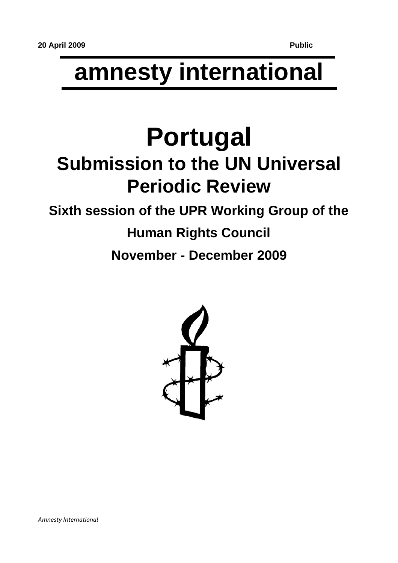# **amnesty international**

# **Portugal Submission to the UN Universal Periodic Review**

### **Sixth session of the UPR Working Group of the**

## **Human Rights Council November - December 2009**

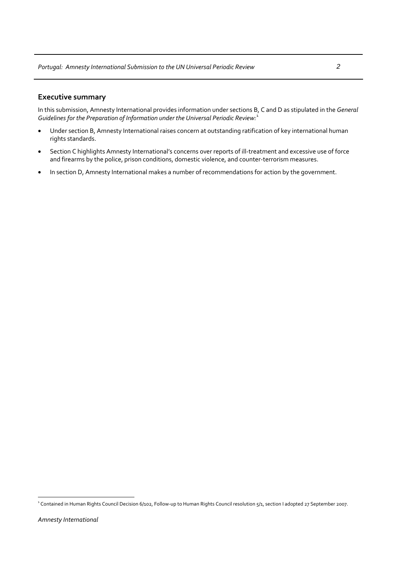#### **Executive summary**

In this submission, Amnesty International provides information under sections B, C and D as stipulated in the *General Guidelines for the Preparation of Information under the Universal Periodic Review:*[1](#page-1-0)

- Under section B, Amnesty International raises concern at outstanding ratification of key international human rights standards.
- Section C highlights Amnesty International's concerns over reports of ill‐treatment and excessive use of force and firearms by the police, prison conditions, domestic violence, and counter-terrorism measures.
- In section D, Amnesty International makes a number of recommendations for action by the government.

 $\overline{a}$ 

<span id="page-1-0"></span><sup>&</sup>lt;sup>1</sup> Contained in Human Rights Council Decision 6/102, Follow-up to Human Rights Council resolution 5/1, section I adopted 27 September 2007.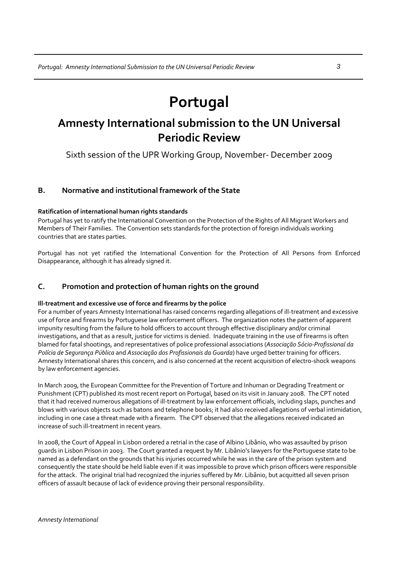## **Portugal**

### **Amnesty International submission to the UN Universal Periodic Review**

Sixth session of the UPR Working Group, November‐ December 2009

#### **B. Normative and institutional framework of the State**

#### **Ratification of international human rights standards**

Portugal has yet to ratify the International Convention on the Protection of the Rights of All Migrant Workers and Members of Their Families. The Convention sets standards for the protection of foreign individuals working countries that are states parties.

Portugal has not yet ratified the International Convention for the Protection of All Persons from Enforced Disappearance, although it has already signed it.

#### **C. Promotion and protection of human rights on the ground**

#### **Ill‐treatment and excessive use of force and firearms by the police**

For a number of years Amnesty International has raised concerns regarding allegations of ill‐treatment and excessive use of force and firearms by Portuguese law enforcement officers. The organization notes the pattern of apparent impunity resulting from the failure to hold officers to account through effective disciplinary and/or criminal investigations, and that as a result, justice for victims is denied. Inadequate training in the use of firearms is often blamed for fatal shootings, and representatives of police professional associations (*Associação Sócio‐Profissional da Polícia de Segurança Pública* and *Associação dos Profissionais da Guarda*) have urged better training for officers. Amnesty International shares this concern, and is also concerned at the recent acquisition of electro‐shock weapons by law enforcement agencies.

In March 2009, the European Committee for the Prevention of Torture and Inhuman or Degrading Treatment or Punishment (CPT) published its most recent report on Portugal, based on its visit in January 2008. The CPT noted that it had received numerous allegations of ill‐treatment by law enforcement officials, including slaps, punches and blows with various objects such as batons and telephone books; it had also received allegations of verbal intimidation, including in one case a threat made with a firearm. The CPT observed that the allegations received indicated an increase of such ill-treatment in recent years.

In 2008, the Court of Appeal in Lisbon ordered a retrial in the case of Albino Libânio, who was assaulted by prison guards in Lisbon Prison in 2003. The Court granted a request by Mr. Libânio's lawyers for the Portuguese state to be named as a defendant on the grounds that his injuries occurred while he was in the care of the prison system and consequently the state should be held liable even if it was impossible to prove which prison officers were responsible for the attack. The original trial had recognized the injuries suffered by Mr. Libânio, but acquitted all seven prison officers of assault because of lack of evidence proving their personal responsibility.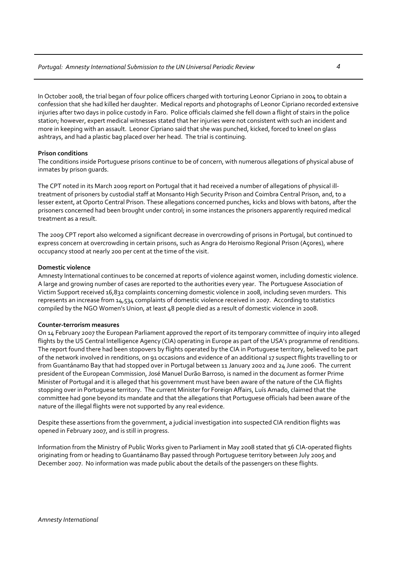In October 2008, the trial began of four police officers charged with torturing Leonor Cipriano in 2004 to obtain a confession that she had killed her daughter. Medical reports and photographs of Leonor Cipriano recorded extensive injuries after two days in police custody in Faro. Police officials claimed she fell down a flight of stairs in the police station; however, expert medical witnesses stated that her injuries were not consistent with such an incident and more in keeping with an assault. Leonor Cipriano said that she was punched, kicked, forced to kneel on glass ashtrays, and had a plastic bag placed over her head. The trial is continuing.

#### **Prison conditions**

The conditions inside Portuguese prisons continue to be of concern, with numerous allegations of physical abuse of inmates by prison guards.

The CPT noted in its March 2009 report on Portugal that it had received a number of allegations of physical ill‐ treatment of prisoners by custodial staff at Monsanto High Security Prison and Coimbra Central Prison, and, to a lesser extent, at Oporto Central Prison. These allegations concerned punches, kicks and blows with batons, after the prisoners concerned had been brought under control; in some instances the prisoners apparently required medical treatment as a result.

The 2009 CPT report also welcomed a significant decrease in overcrowding of prisons in Portugal, but continued to express concern at overcrowding in certain prisons, such as Angra do Heroismo Regional Prison (Açores), where occupancy stood at nearly 200 per cent at the time of the visit.

#### **Domestic violence**

Amnesty International continues to be concerned at reports of violence against women, including domestic violence. A large and growing number of cases are reported to the authorities every year. The Portuguese Association of Victim Support received 16,832 complaints concerning domestic violence in 2008, including seven murders. This represents an increase from 14,534 complaints of domestic violence received in 2007. According to statistics compiled by the NGO Women's Union, at least 48 people died as a result of domestic violence in 2008.

#### **Counter‐terrorism measures**

On 14 February 2007 the European Parliament approved the report of its temporary committee of inquiry into alleged flights by the US Central Intelligence Agency (CIA) operating in Europe as part of the USA's programme of renditions. The report found there had been stopovers by flights operated by the CIA in Portuguese territory, believed to be part of the network involved in renditions, on 91 occasions and evidence of an additional 17 suspect flights travelling to or from Guantánamo Bay that had stopped over in Portugal between 11 January 2002 and 24 June 2006. The current president of the European Commission, José Manuel Durão Barroso, is named in the document as former Prime Minister of Portugal and it is alleged that his government must have been aware of the nature of the CIA flights stopping over in Portuguese territory. The current Minister for Foreign Affairs, Luís Amado, claimed that the committee had gone beyond its mandate and that the allegations that Portuguese officials had been aware of the nature of the illegal flights were not supported by any real evidence.

Despite these assertions from the government, a judicial investigation into suspected CIA rendition flights was opened in February 2007, and is still in progress.

Information from the Ministry of Public Works given to Parliament in May 2008 stated that 56 CIA‐operated flights originating from or heading to Guantánamo Bay passed through Portuguese territory between July 2005 and December 2007. No information was made public about the details of the passengers on these flights.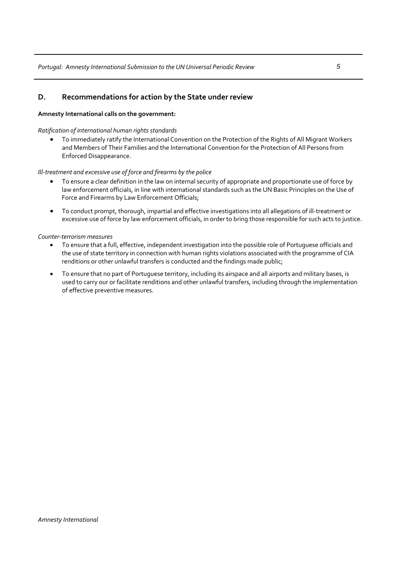#### **D. Recommendations for action by the State under review**

#### **Amnesty International calls on the government:**

#### *Ratification of international human rights standards*

• To immediately ratify the International Convention on the Protection of the Rights of All Migrant Workers and Members of Their Families and the International Convention for the Protection of All Persons from Enforced Disappearance.

#### *Ill‐treatment and excessive use of force and firearms by the police*

- To ensure a clear definition in the law on internal security of appropriate and proportionate use of force by law enforcement officials, in line with international standards such as the UN Basic Principles on the Use of Force and Firearms by Law Enforcement Officials;
- To conduct prompt, thorough, impartial and effective investigations into all allegations of ill‐treatment or excessive use of force by law enforcement officials, in order to bring those responsible for such acts to justice.

#### *Counter‐terrorism measures*

- To ensure that a full, effective, independent investigation into the possible role of Portuguese officials and the use of state territory in connection with human rights violations associated with the programme of CIA renditions or other unlawful transfers is conducted and the findings made public;
- To ensure that no part of Portuguese territory, including its airspace and all airports and military bases, is used to carry our or facilitate renditions and other unlawful transfers, including through the implementation of effective preventive measures.